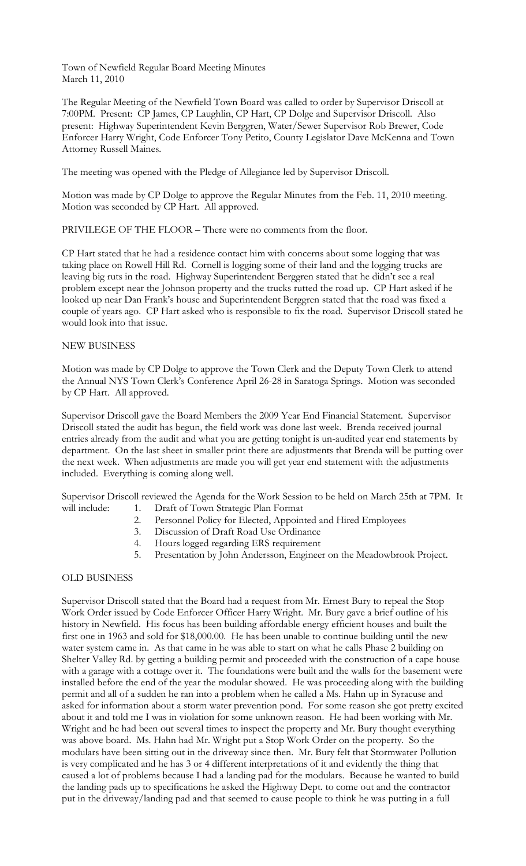The Regular Meeting of the Newfield Town Board was called to order by Supervisor Driscoll at 7:00PM. Present: CP James, CP Laughlin, CP Hart, CP Dolge and Supervisor Driscoll. Also present: Highway Superintendent Kevin Berggren, Water/Sewer Supervisor Rob Brewer, Code Enforcer Harry Wright, Code Enforcer Tony Petito, County Legislator Dave McKenna and Town Attorney Russell Maines.

The meeting was opened with the Pledge of Allegiance led by Supervisor Driscoll.

Motion was made by CP Dolge to approve the Regular Minutes from the Feb. 11, 2010 meeting. Motion was seconded by CP Hart. All approved.

PRIVILEGE OF THE FLOOR – There were no comments from the floor.

CP Hart stated that he had a residence contact him with concerns about some logging that was taking place on Rowell Hill Rd. Cornell is logging some of their land and the logging trucks are leaving big ruts in the road. Highway Superintendent Berggren stated that he didn't see a real problem except near the Johnson property and the trucks rutted the road up. CP Hart asked if he looked up near Dan Frank's house and Superintendent Berggren stated that the road was fixed a couple of years ago. CP Hart asked who is responsible to fix the road. Supervisor Driscoll stated he would look into that issue.

# NEW BUSINESS

Motion was made by CP Dolge to approve the Town Clerk and the Deputy Town Clerk to attend the Annual NYS Town Clerk's Conference April 26-28 in Saratoga Springs. Motion was seconded by CP Hart. All approved.

Supervisor Driscoll gave the Board Members the 2009 Year End Financial Statement. Supervisor Driscoll stated the audit has begun, the field work was done last week. Brenda received journal entries already from the audit and what you are getting tonight is un-audited year end statements by department. On the last sheet in smaller print there are adjustments that Brenda will be putting over the next week. When adjustments are made you will get year end statement with the adjustments included. Everything is coming along well.

Supervisor Driscoll reviewed the Agenda for the Work Session to be held on March 25th at 7PM. It will include: 1. Draft of Town Strategic Plan Format

- 2. Personnel Policy for Elected, Appointed and Hired Employees
- 3. Discussion of Draft Road Use Ordinance
- 4. Hours logged regarding ERS requirement
- 5. Presentation by John Andersson, Engineer on the Meadowbrook Project.

# OLD BUSINESS

Supervisor Driscoll stated that the Board had a request from Mr. Ernest Bury to repeal the Stop Work Order issued by Code Enforcer Officer Harry Wright. Mr. Bury gave a brief outline of his history in Newfield. His focus has been building affordable energy efficient houses and built the first one in 1963 and sold for \$18,000.00. He has been unable to continue building until the new water system came in. As that came in he was able to start on what he calls Phase 2 building on Shelter Valley Rd. by getting a building permit and proceeded with the construction of a cape house with a garage with a cottage over it. The foundations were built and the walls for the basement were installed before the end of the year the modular showed. He was proceeding along with the building permit and all of a sudden he ran into a problem when he called a Ms. Hahn up in Syracuse and asked for information about a storm water prevention pond. For some reason she got pretty excited about it and told me I was in violation for some unknown reason. He had been working with Mr. Wright and he had been out several times to inspect the property and Mr. Bury thought everything was above board. Ms. Hahn had Mr. Wright put a Stop Work Order on the property. So the modulars have been sitting out in the driveway since then. Mr. Bury felt that Stormwater Pollution is very complicated and he has 3 or 4 different interpretations of it and evidently the thing that caused a lot of problems because I had a landing pad for the modulars. Because he wanted to build the landing pads up to specifications he asked the Highway Dept. to come out and the contractor put in the driveway/landing pad and that seemed to cause people to think he was putting in a full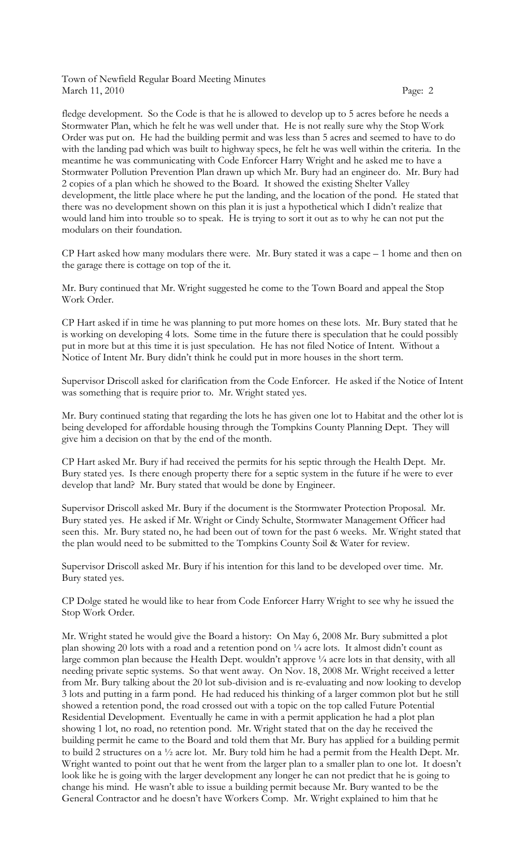fledge development. So the Code is that he is allowed to develop up to 5 acres before he needs a Stormwater Plan, which he felt he was well under that. He is not really sure why the Stop Work Order was put on. He had the building permit and was less than 5 acres and seemed to have to do with the landing pad which was built to highway specs, he felt he was well within the criteria. In the meantime he was communicating with Code Enforcer Harry Wright and he asked me to have a Stormwater Pollution Prevention Plan drawn up which Mr. Bury had an engineer do. Mr. Bury had 2 copies of a plan which he showed to the Board. It showed the existing Shelter Valley development, the little place where he put the landing, and the location of the pond. He stated that there was no development shown on this plan it is just a hypothetical which I didn't realize that would land him into trouble so to speak. He is trying to sort it out as to why he can not put the modulars on their foundation.

CP Hart asked how many modulars there were. Mr. Bury stated it was a cape – 1 home and then on the garage there is cottage on top of the it.

Mr. Bury continued that Mr. Wright suggested he come to the Town Board and appeal the Stop Work Order.

CP Hart asked if in time he was planning to put more homes on these lots. Mr. Bury stated that he is working on developing 4 lots. Some time in the future there is speculation that he could possibly put in more but at this time it is just speculation. He has not filed Notice of Intent. Without a Notice of Intent Mr. Bury didn't think he could put in more houses in the short term.

Supervisor Driscoll asked for clarification from the Code Enforcer. He asked if the Notice of Intent was something that is require prior to. Mr. Wright stated yes.

Mr. Bury continued stating that regarding the lots he has given one lot to Habitat and the other lot is being developed for affordable housing through the Tompkins County Planning Dept. They will give him a decision on that by the end of the month.

CP Hart asked Mr. Bury if had received the permits for his septic through the Health Dept. Mr. Bury stated yes. Is there enough property there for a septic system in the future if he were to ever develop that land? Mr. Bury stated that would be done by Engineer.

Supervisor Driscoll asked Mr. Bury if the document is the Stormwater Protection Proposal. Mr. Bury stated yes. He asked if Mr. Wright or Cindy Schulte, Stormwater Management Officer had seen this. Mr. Bury stated no, he had been out of town for the past 6 weeks. Mr. Wright stated that the plan would need to be submitted to the Tompkins County Soil & Water for review.

Supervisor Driscoll asked Mr. Bury if his intention for this land to be developed over time. Mr. Bury stated yes.

CP Dolge stated he would like to hear from Code Enforcer Harry Wright to see why he issued the Stop Work Order.

Mr. Wright stated he would give the Board a history: On May 6, 2008 Mr. Bury submitted a plot plan showing 20 lots with a road and a retention pond on  $\frac{1}{4}$  acre lots. It almost didn't count as large common plan because the Health Dept. wouldn't approve 1/4 acre lots in that density, with all needing private septic systems. So that went away. On Nov. 18, 2008 Mr. Wright received a letter from Mr. Bury talking about the 20 lot sub-division and is re-evaluating and now looking to develop 3 lots and putting in a farm pond. He had reduced his thinking of a larger common plot but he still showed a retention pond, the road crossed out with a topic on the top called Future Potential Residential Development. Eventually he came in with a permit application he had a plot plan showing 1 lot, no road, no retention pond. Mr. Wright stated that on the day he received the building permit he came to the Board and told them that Mr. Bury has applied for a building permit to build 2 structures on a ½ acre lot. Mr. Bury told him he had a permit from the Health Dept. Mr. Wright wanted to point out that he went from the larger plan to a smaller plan to one lot. It doesn't look like he is going with the larger development any longer he can not predict that he is going to change his mind. He wasn't able to issue a building permit because Mr. Bury wanted to be the General Contractor and he doesn't have Workers Comp. Mr. Wright explained to him that he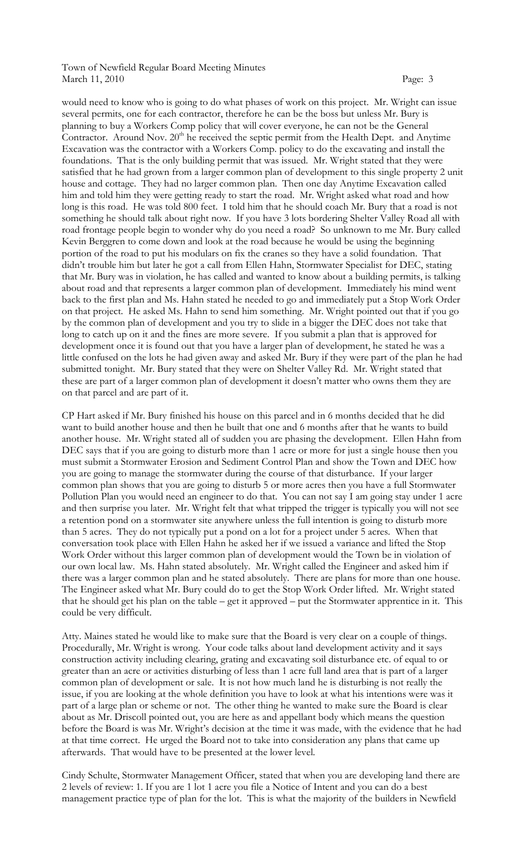would need to know who is going to do what phases of work on this project. Mr. Wright can issue several permits, one for each contractor, therefore he can be the boss but unless Mr. Bury is planning to buy a Workers Comp policy that will cover everyone, he can not be the General Contractor. Around Nov. 20<sup>th</sup> he received the septic permit from the Health Dept. and Anytime Excavation was the contractor with a Workers Comp. policy to do the excavating and install the foundations. That is the only building permit that was issued. Mr. Wright stated that they were satisfied that he had grown from a larger common plan of development to this single property 2 unit house and cottage. They had no larger common plan. Then one day Anytime Excavation called him and told him they were getting ready to start the road. Mr. Wright asked what road and how long is this road. He was told 800 feet. I told him that he should coach Mr. Bury that a road is not something he should talk about right now. If you have 3 lots bordering Shelter Valley Road all with road frontage people begin to wonder why do you need a road? So unknown to me Mr. Bury called Kevin Berggren to come down and look at the road because he would be using the beginning portion of the road to put his modulars on fix the cranes so they have a solid foundation. That didn't trouble him but later he got a call from Ellen Hahn, Stormwater Specialist for DEC, stating that Mr. Bury was in violation, he has called and wanted to know about a building permits, is talking about road and that represents a larger common plan of development. Immediately his mind went back to the first plan and Ms. Hahn stated he needed to go and immediately put a Stop Work Order on that project. He asked Ms. Hahn to send him something. Mr. Wright pointed out that if you go by the common plan of development and you try to slide in a bigger the DEC does not take that long to catch up on it and the fines are more severe. If you submit a plan that is approved for development once it is found out that you have a larger plan of development, he stated he was a little confused on the lots he had given away and asked Mr. Bury if they were part of the plan he had submitted tonight. Mr. Bury stated that they were on Shelter Valley Rd. Mr. Wright stated that these are part of a larger common plan of development it doesn't matter who owns them they are on that parcel and are part of it.

CP Hart asked if Mr. Bury finished his house on this parcel and in 6 months decided that he did want to build another house and then he built that one and 6 months after that he wants to build another house. Mr. Wright stated all of sudden you are phasing the development. Ellen Hahn from DEC says that if you are going to disturb more than 1 acre or more for just a single house then you must submit a Stormwater Erosion and Sediment Control Plan and show the Town and DEC how you are going to manage the stormwater during the course of that disturbance. If your larger common plan shows that you are going to disturb 5 or more acres then you have a full Stormwater Pollution Plan you would need an engineer to do that. You can not say I am going stay under 1 acre and then surprise you later. Mr. Wright felt that what tripped the trigger is typically you will not see a retention pond on a stormwater site anywhere unless the full intention is going to disturb more than 5 acres. They do not typically put a pond on a lot for a project under 5 acres. When that conversation took place with Ellen Hahn he asked her if we issued a variance and lifted the Stop Work Order without this larger common plan of development would the Town be in violation of our own local law. Ms. Hahn stated absolutely. Mr. Wright called the Engineer and asked him if there was a larger common plan and he stated absolutely. There are plans for more than one house. The Engineer asked what Mr. Bury could do to get the Stop Work Order lifted. Mr. Wright stated that he should get his plan on the table – get it approved – put the Stormwater apprentice in it. This could be very difficult.

Atty. Maines stated he would like to make sure that the Board is very clear on a couple of things. Procedurally, Mr. Wright is wrong. Your code talks about land development activity and it says construction activity including clearing, grating and excavating soil disturbance etc. of equal to or greater than an acre or activities disturbing of less than 1 acre full land area that is part of a larger common plan of development or sale. It is not how much land he is disturbing is not really the issue, if you are looking at the whole definition you have to look at what his intentions were was it part of a large plan or scheme or not. The other thing he wanted to make sure the Board is clear about as Mr. Driscoll pointed out, you are here as and appellant body which means the question before the Board is was Mr. Wright's decision at the time it was made, with the evidence that he had at that time correct. He urged the Board not to take into consideration any plans that came up afterwards. That would have to be presented at the lower level.

Cindy Schulte, Stormwater Management Officer, stated that when you are developing land there are 2 levels of review: 1. If you are 1 lot 1 acre you file a Notice of Intent and you can do a best management practice type of plan for the lot. This is what the majority of the builders in Newfield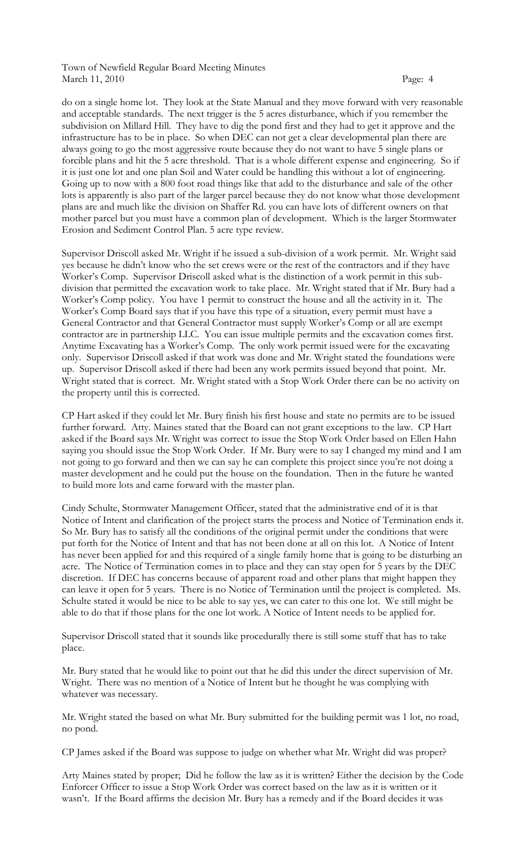do on a single home lot. They look at the State Manual and they move forward with very reasonable and acceptable standards. The next trigger is the 5 acres disturbance, which if you remember the subdivision on Millard Hill. They have to dig the pond first and they had to get it approve and the infrastructure has to be in place. So when DEC can not get a clear developmental plan there are always going to go the most aggressive route because they do not want to have 5 single plans or forcible plans and hit the 5 acre threshold. That is a whole different expense and engineering. So if it is just one lot and one plan Soil and Water could be handling this without a lot of engineering. Going up to now with a 800 foot road things like that add to the disturbance and sale of the other lots is apparently is also part of the larger parcel because they do not know what those development plans are and much like the division on Shaffer Rd. you can have lots of different owners on that mother parcel but you must have a common plan of development. Which is the larger Stormwater Erosion and Sediment Control Plan. 5 acre type review.

Supervisor Driscoll asked Mr. Wright if he issued a sub-division of a work permit. Mr. Wright said yes because he didn't know who the set crews were or the rest of the contractors and if they have Worker's Comp. Supervisor Driscoll asked what is the distinction of a work permit in this subdivision that permitted the excavation work to take place. Mr. Wright stated that if Mr. Bury had a Worker's Comp policy. You have 1 permit to construct the house and all the activity in it. The Worker's Comp Board says that if you have this type of a situation, every permit must have a General Contractor and that General Contractor must supply Worker's Comp or all are exempt contractor are in partnership LLC. You can issue multiple permits and the excavation comes first. Anytime Excavating has a Worker's Comp. The only work permit issued were for the excavating only. Supervisor Driscoll asked if that work was done and Mr. Wright stated the foundations were up. Supervisor Driscoll asked if there had been any work permits issued beyond that point. Mr. Wright stated that is correct. Mr. Wright stated with a Stop Work Order there can be no activity on the property until this is corrected.

CP Hart asked if they could let Mr. Bury finish his first house and state no permits are to be issued further forward. Atty. Maines stated that the Board can not grant exceptions to the law. CP Hart asked if the Board says Mr. Wright was correct to issue the Stop Work Order based on Ellen Hahn saying you should issue the Stop Work Order. If Mr. Bury were to say I changed my mind and I am not going to go forward and then we can say he can complete this project since you're not doing a master development and he could put the house on the foundation. Then in the future he wanted to build more lots and came forward with the master plan.

Cindy Schulte, Stormwater Management Officer, stated that the administrative end of it is that Notice of Intent and clarification of the project starts the process and Notice of Termination ends it. So Mr. Bury has to satisfy all the conditions of the original permit under the conditions that were put forth for the Notice of Intent and that has not been done at all on this lot. A Notice of Intent has never been applied for and this required of a single family home that is going to be disturbing an acre. The Notice of Termination comes in to place and they can stay open for 5 years by the DEC discretion. If DEC has concerns because of apparent road and other plans that might happen they can leave it open for 5 years. There is no Notice of Termination until the project is completed. Ms. Schulte stated it would be nice to be able to say yes, we can cater to this one lot. We still might be able to do that if those plans for the one lot work. A Notice of Intent needs to be applied for.

Supervisor Driscoll stated that it sounds like procedurally there is still some stuff that has to take place.

Mr. Bury stated that he would like to point out that he did this under the direct supervision of Mr. Wright. There was no mention of a Notice of Intent but he thought he was complying with whatever was necessary.

Mr. Wright stated the based on what Mr. Bury submitted for the building permit was 1 lot, no road, no pond.

CP James asked if the Board was suppose to judge on whether what Mr. Wright did was proper?

Arty Maines stated by proper; Did he follow the law as it is written? Either the decision by the Code Enforcer Officer to issue a Stop Work Order was correct based on the law as it is written or it wasn't. If the Board affirms the decision Mr. Bury has a remedy and if the Board decides it was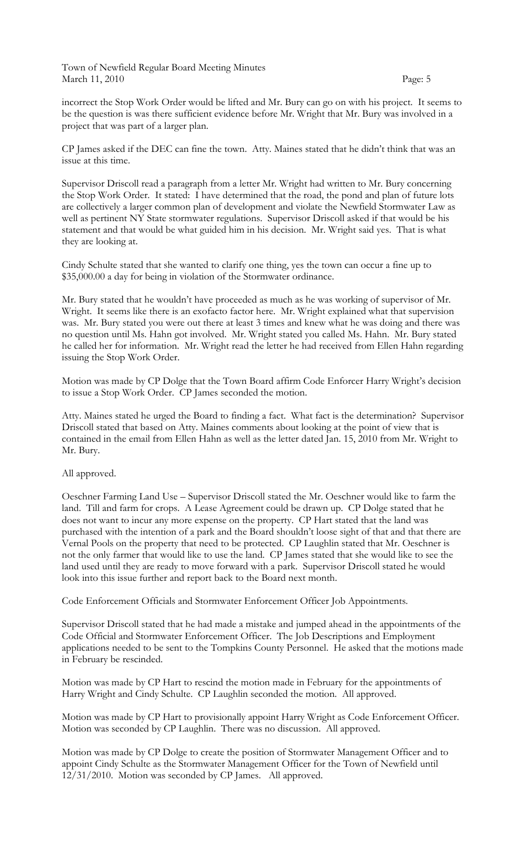incorrect the Stop Work Order would be lifted and Mr. Bury can go on with his project. It seems to be the question is was there sufficient evidence before Mr. Wright that Mr. Bury was involved in a project that was part of a larger plan.

CP James asked if the DEC can fine the town. Atty. Maines stated that he didn't think that was an issue at this time.

Supervisor Driscoll read a paragraph from a letter Mr. Wright had written to Mr. Bury concerning the Stop Work Order. It stated: I have determined that the road, the pond and plan of future lots are collectively a larger common plan of development and violate the Newfield Stormwater Law as well as pertinent NY State stormwater regulations. Supervisor Driscoll asked if that would be his statement and that would be what guided him in his decision. Mr. Wright said yes. That is what they are looking at.

Cindy Schulte stated that she wanted to clarify one thing, yes the town can occur a fine up to \$35,000.00 a day for being in violation of the Stormwater ordinance.

Mr. Bury stated that he wouldn't have proceeded as much as he was working of supervisor of Mr. Wright. It seems like there is an exofacto factor here. Mr. Wright explained what that supervision was. Mr. Bury stated you were out there at least 3 times and knew what he was doing and there was no question until Ms. Hahn got involved. Mr. Wright stated you called Ms. Hahn. Mr. Bury stated he called her for information. Mr. Wright read the letter he had received from Ellen Hahn regarding issuing the Stop Work Order.

Motion was made by CP Dolge that the Town Board affirm Code Enforcer Harry Wright's decision to issue a Stop Work Order. CP James seconded the motion.

Atty. Maines stated he urged the Board to finding a fact. What fact is the determination? Supervisor Driscoll stated that based on Atty. Maines comments about looking at the point of view that is contained in the email from Ellen Hahn as well as the letter dated Jan. 15, 2010 from Mr. Wright to Mr. Bury.

# All approved.

Oeschner Farming Land Use – Supervisor Driscoll stated the Mr. Oeschner would like to farm the land. Till and farm for crops. A Lease Agreement could be drawn up. CP Dolge stated that he does not want to incur any more expense on the property. CP Hart stated that the land was purchased with the intention of a park and the Board shouldn't loose sight of that and that there are Vernal Pools on the property that need to be protected. CP Laughlin stated that Mr. Oeschner is not the only farmer that would like to use the land. CP James stated that she would like to see the land used until they are ready to move forward with a park. Supervisor Driscoll stated he would look into this issue further and report back to the Board next month.

Code Enforcement Officials and Stormwater Enforcement Officer Job Appointments.

Supervisor Driscoll stated that he had made a mistake and jumped ahead in the appointments of the Code Official and Stormwater Enforcement Officer. The Job Descriptions and Employment applications needed to be sent to the Tompkins County Personnel. He asked that the motions made in February be rescinded.

Motion was made by CP Hart to rescind the motion made in February for the appointments of Harry Wright and Cindy Schulte. CP Laughlin seconded the motion. All approved.

Motion was made by CP Hart to provisionally appoint Harry Wright as Code Enforcement Officer. Motion was seconded by CP Laughlin. There was no discussion. All approved.

Motion was made by CP Dolge to create the position of Stormwater Management Officer and to appoint Cindy Schulte as the Stormwater Management Officer for the Town of Newfield until 12/31/2010. Motion was seconded by CP James. All approved.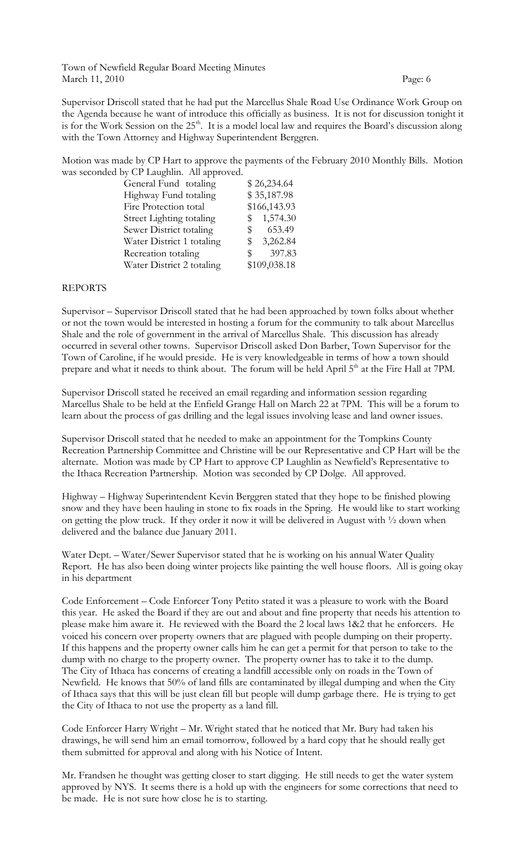Supervisor Driscoll stated that he had put the Marcellus Shale Road Use Ordinance Work Group on the Agenda because he want of introduce this officially as business. It is not for discussion tonight it is for the Work Session on the 25<sup>th</sup>. It is a model local law and requires the Board's discussion along with the Town Attorney and Highway Superintendent Berggren.

Motion was made by CP Hart to approve the payments of the February 2010 Monthly Bills. Motion was seconded by CP Laughlin. All approved.

| General Fund totaling     | \$26,234.64              |
|---------------------------|--------------------------|
| Highway Fund totaling     | \$35,187.98              |
| Fire Protection total     | \$166,143.93             |
| Street Lighting totaling  | 1,574.30<br>$\mathbb{S}$ |
| Sewer District totaling   | 653.49<br>$^{\circ}$     |
| Water District 1 totaling | 3,262.84<br>SS.          |
| Recreation totaling       | 397.83<br>SS.            |
| Water District 2 totaling | \$109,038.18             |
|                           |                          |

# REPORTS

Supervisor – Supervisor Driscoll stated that he had been approached by town folks about whether or not the town would be interested in hosting a forum for the community to talk about Marcellus Shale and the role of government in the arrival of Marcellus Shale. This discussion has already occurred in several other towns. Supervisor Driscoll asked Don Barber, Town Supervisor for the Town of Caroline, if he would preside. He is very knowledgeable in terms of how a town should prepare and what it needs to think about. The forum will be held April 5<sup>th</sup> at the Fire Hall at 7PM.

Supervisor Driscoll stated he received an email regarding and information session regarding Marcellus Shale to be held at the Enfield Grange Hall on March 22 at 7PM. This will be a forum to learn about the process of gas drilling and the legal issues involving lease and land owner issues.

Supervisor Driscoll stated that he needed to make an appointment for the Tompkins County Recreation Partnership Committee and Christine will be our Representative and CP Hart will be the alternate. Motion was made by CP Hart to approve CP Laughlin as Newfield's Representative to the Ithaca Recreation Partnership. Motion was seconded by CP Dolge. All approved.

Highway – Highway Superintendent Kevin Berggren stated that they hope to be finished plowing snow and they have been hauling in stone to fix roads in the Spring. He would like to start working on getting the plow truck. If they order it now it will be delivered in August with ½ down when delivered and the balance due January 2011.

Water Dept. – Water/Sewer Supervisor stated that he is working on his annual Water Quality Report. He has also been doing winter projects like painting the well house floors. All is going okay in his department

Code Enforcement – Code Enforcer Tony Petito stated it was a pleasure to work with the Board this year. He asked the Board if they are out and about and fine property that needs his attention to please make him aware it. He reviewed with the Board the 2 local laws 1&2 that he enforcers. He voiced his concern over property owners that are plagued with people dumping on their property. If this happens and the property owner calls him he can get a permit for that person to take to the dump with no charge to the property owner. The property owner has to take it to the dump. The City of Ithaca has concerns of creating a landfill accessible only on roads in the Town of Newfield. He knows that 50% of land fills are contaminated by illegal dumping and when the City of Ithaca says that this will be just clean fill but people will dump garbage there. He is trying to get the City of Ithaca to not use the property as a land fill.

Code Enforcer Harry Wright – Mr. Wright stated that he noticed that Mr. Bury had taken his drawings, he will send him an email tomorrow, followed by a hard copy that he should really get them submitted for approval and along with his Notice of Intent.

Mr. Frandsen he thought was getting closer to start digging. He still needs to get the water system approved by NYS. It seems there is a hold up with the engineers for some corrections that need to be made. He is not sure how close he is to starting.